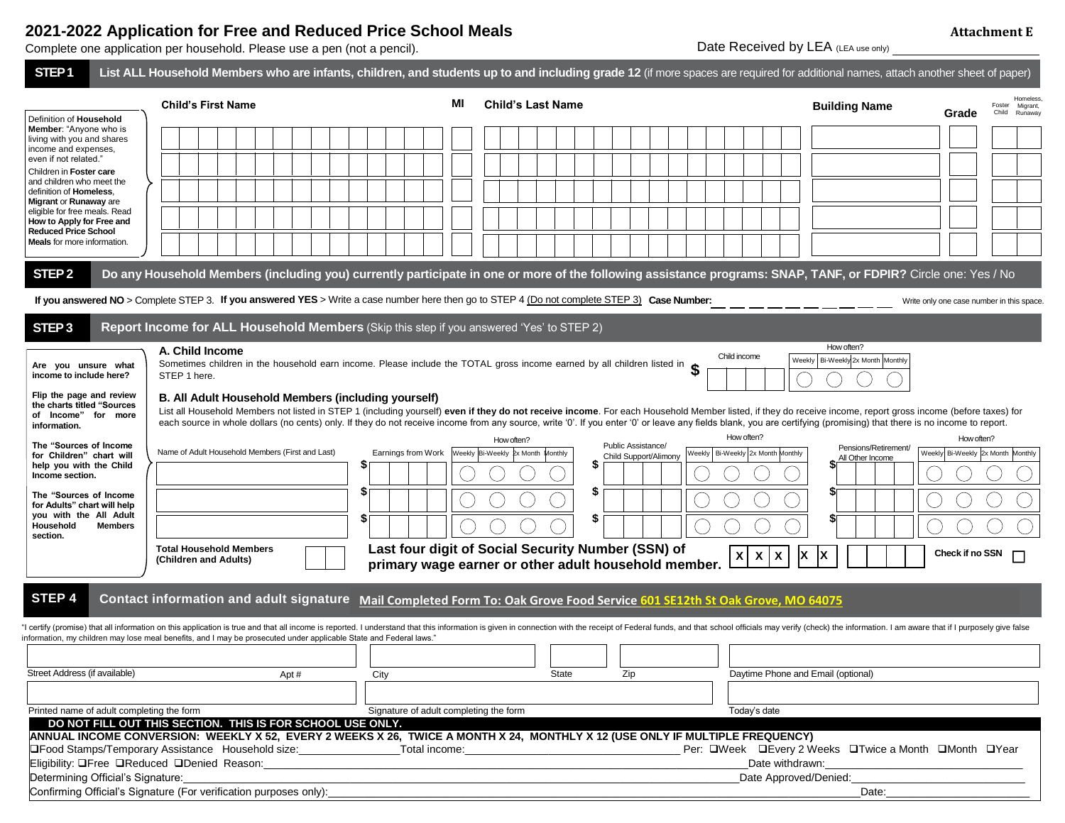## **2021-2022 Application for Free and Reduced Price School Meals**

| 2021-2022 Application for Free and Reduced Price School Meals            |                                                                                                                                                                                         |                                     |  |  |
|--------------------------------------------------------------------------|-----------------------------------------------------------------------------------------------------------------------------------------------------------------------------------------|-------------------------------------|--|--|
| Complete one application per household. Please use a pen (not a pencil). |                                                                                                                                                                                         | Date Received by LEA (LEA use only) |  |  |
|                                                                          | STEP 1 I ist ALL Household Members who are infants children and students up to and including grade 12 (if more spaces are required for additional names, attach another sheet of paper) |                                     |  |  |

|                                                                                               | LISE TRASPORTION INCLINGTS WITH ALC INTRINS, GUINHEIT, AND SUDGITS UP TO AND INSURING SPACE TREATING SPACES ALC TEQUITED TO AQUINOTAL HALITES, ANALIT AND ITEL SHEET OF PAPER /                                                                                                                                                                                                                                                                                                              |                                        |                                                    |                                                      |                                                                          |                                                            |
|-----------------------------------------------------------------------------------------------|----------------------------------------------------------------------------------------------------------------------------------------------------------------------------------------------------------------------------------------------------------------------------------------------------------------------------------------------------------------------------------------------------------------------------------------------------------------------------------------------|----------------------------------------|----------------------------------------------------|------------------------------------------------------|--------------------------------------------------------------------------|------------------------------------------------------------|
| Definition of Household                                                                       | <b>Child's First Name</b>                                                                                                                                                                                                                                                                                                                                                                                                                                                                    | мı                                     | <b>Child's Last Name</b>                           |                                                      | <b>Building Name</b>                                                     | Homeless<br>Migrant<br>Foster<br>Child<br>Runaway<br>Grade |
| <b>Member:</b> "Anyone who is<br>living with you and shares<br>income and expenses,           |                                                                                                                                                                                                                                                                                                                                                                                                                                                                                              |                                        |                                                    |                                                      |                                                                          |                                                            |
| even if not related."<br>Children in Foster care                                              |                                                                                                                                                                                                                                                                                                                                                                                                                                                                                              |                                        |                                                    |                                                      |                                                                          |                                                            |
| and children who meet the<br>definition of Homeless,                                          |                                                                                                                                                                                                                                                                                                                                                                                                                                                                                              |                                        |                                                    |                                                      |                                                                          |                                                            |
| <b>Migrant or Runaway are</b><br>eligible for free meals. Read<br>How to Apply for Free and   |                                                                                                                                                                                                                                                                                                                                                                                                                                                                                              |                                        |                                                    |                                                      |                                                                          |                                                            |
| <b>Reduced Price School</b><br><b>Meals</b> for more information.                             |                                                                                                                                                                                                                                                                                                                                                                                                                                                                                              |                                        |                                                    |                                                      |                                                                          |                                                            |
| STEP <sub>2</sub>                                                                             | Do any Household Members (including you) currently participate in one or more of the following assistance programs: SNAP, TANF, or FDPIR? Circle one: Yes / No                                                                                                                                                                                                                                                                                                                               |                                        |                                                    |                                                      |                                                                          |                                                            |
|                                                                                               | If you answered NO > Complete STEP 3. If you answered YES > Write a case number here then go to STEP 4 (Do not complete STEP 3) Case Number:                                                                                                                                                                                                                                                                                                                                                 |                                        |                                                    |                                                      |                                                                          | Write only one case number in this space.                  |
| STEP <sub>3</sub>                                                                             | Report Income for ALL Household Members (Skip this step if you answered 'Yes' to STEP 2)                                                                                                                                                                                                                                                                                                                                                                                                     |                                        |                                                    |                                                      |                                                                          |                                                            |
| Are you unsure what<br>income to include here?                                                | A. Child Income<br>Sometimes children in the household earn income. Please include the TOTAL gross income earned by all children listed in<br>STEP 1 here.                                                                                                                                                                                                                                                                                                                                   |                                        |                                                    |                                                      | How often?<br>Child income<br>Weekly   Bi-Weekly 2x Month   Monthly      |                                                            |
| Flip the page and review<br>the charts titled "Sources<br>of Income" for more<br>information. | B. All Adult Household Members (including yourself)<br>List all Household Members not listed in STEP 1 (including yourself) even if they do not receive income. For each Household Member listed, if they do receive income, report gross income (before taxes) for<br>each source in whole dollars (no cents) only. If they do not receive income from any source, write '0'. If you enter '0' or leave any fields blank, you are certifying (promising) that there is no income to report. |                                        |                                                    |                                                      |                                                                          |                                                            |
| The "Sources of Income                                                                        |                                                                                                                                                                                                                                                                                                                                                                                                                                                                                              |                                        | How often?                                         | Public Assistance/                                   | How often?<br>Pensions/Retirement/                                       | How often?                                                 |
| for Children" chart will<br>help you with the Child<br>Income section.                        | Name of Adult Household Members (First and Last)                                                                                                                                                                                                                                                                                                                                                                                                                                             | Earnings from Work<br>J                | Weekly Bi-Weekly 2x Month Monthly                  | Child Support/Alimony<br>S                           | Weekly   Bi-Weekly 2x Month Monthly<br>All Other Income                  | Weekly Bi-Weekly 2x Month Monthly                          |
| The "Sources of Income<br>for Adults" chart will help                                         |                                                                                                                                                                                                                                                                                                                                                                                                                                                                                              | \$                                     |                                                    | 5                                                    |                                                                          |                                                            |
| you with the All Adult<br><b>Members</b><br>Household<br>section.                             |                                                                                                                                                                                                                                                                                                                                                                                                                                                                                              | \$                                     |                                                    | \$                                                   |                                                                          |                                                            |
|                                                                                               | <b>Total Household Members</b><br>(Children and Adults)                                                                                                                                                                                                                                                                                                                                                                                                                                      |                                        | Last four digit of Social Security Number (SSN) of | primary wage earner or other adult household member. | ΙX<br>$\pmb{\mathsf{x}}$<br>$\boldsymbol{\mathsf{X}}$<br>X               | Check if no SSN                                            |
| STEP <sub>4</sub>                                                                             | Contact information and adult signature Mail Completed Form To: Oak Grove Food Service 601 SE12th St Oak Grove, MO 64075                                                                                                                                                                                                                                                                                                                                                                     |                                        |                                                    |                                                      |                                                                          |                                                            |
|                                                                                               | I certify (promise) that all information on this application is true and that all income is reported. I understand that this information is given in connection with the receipt of Federal funds, and that school officials m<br>nformation, my children may lose meal benefits, and I may be prosecuted under applicable State and Federal laws."                                                                                                                                          |                                        |                                                    |                                                      |                                                                          |                                                            |
|                                                                                               |                                                                                                                                                                                                                                                                                                                                                                                                                                                                                              |                                        |                                                    |                                                      |                                                                          |                                                            |
| Street Address (if available)                                                                 | Apt#                                                                                                                                                                                                                                                                                                                                                                                                                                                                                         | City                                   | State                                              | Zip                                                  | Daytime Phone and Email (optional)                                       |                                                            |
|                                                                                               |                                                                                                                                                                                                                                                                                                                                                                                                                                                                                              |                                        |                                                    |                                                      |                                                                          |                                                            |
| Printed name of adult completing the form                                                     | DO NOT FILL OUT THIS SECTION. THIS IS FOR SCHOOL USE ONLY.                                                                                                                                                                                                                                                                                                                                                                                                                                   | Signature of adult completing the form |                                                    |                                                      | Today's date                                                             |                                                            |
|                                                                                               | ANNUAL INCOME CONVERSION: WEEKLY X 52, EVERY 2 WEEKS X 26, TWICE A MONTH X 24, MONTHLY X 12 (USE ONLY IF MULTIPLE FREQUENCY)                                                                                                                                                                                                                                                                                                                                                                 |                                        |                                                    |                                                      |                                                                          |                                                            |
|                                                                                               | □Food Stamps/Temporary Assistance Household size: Total income: Total income:<br>Eligibility: OFree OReduced ODenied Reason:                                                                                                                                                                                                                                                                                                                                                                 |                                        |                                                    |                                                      | Per: QWeek QEvery 2 Weeks QTwice a Month QMonth QYear<br>Date withdrawn: |                                                            |
| Determining Official's Signature:                                                             |                                                                                                                                                                                                                                                                                                                                                                                                                                                                                              |                                        |                                                    |                                                      | Date Approved/Denied:                                                    |                                                            |

Confirming Official's Signature (For verification purposes only):\_\_\_\_\_\_\_\_\_\_\_\_\_\_\_\_\_\_\_\_\_\_\_\_\_\_\_\_\_\_\_\_\_\_\_\_\_\_\_\_\_\_\_\_\_\_\_\_\_\_\_\_\_\_\_\_\_\_\_\_\_\_\_\_\_\_\_\_\_\_\_\_\_\_\_\_\_\_\_\_\_\_\_\_\_\_\_\_\_Date:\_\_\_\_\_\_\_\_\_\_\_\_\_\_\_\_\_\_\_\_\_\_\_\_